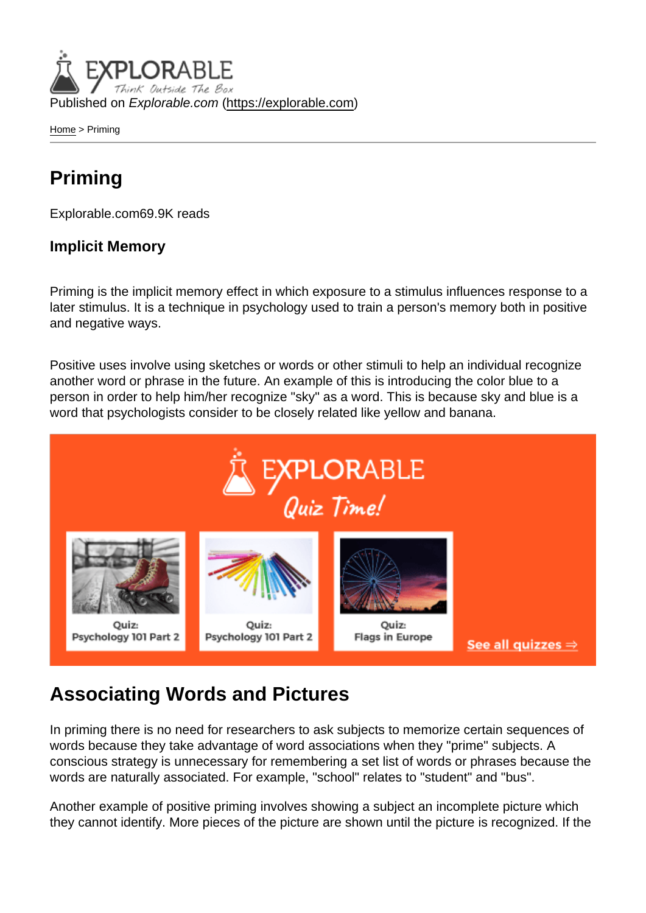Published on Explorable.com (<https://explorable.com>)

[Home](https://explorable.com/) > Priming

## Priming

Explorable.com69.9K reads

#### Implicit Memory

Priming is the implicit memory effect in which exposure to a stimulus influences response to a later stimulus. It is a technique in psychology used to train a person's memory both in positive and negative ways.

Positive uses involve using sketches or words or other stimuli to help an individual recognize another word or phrase in the future. An example of this is introducing the color blue to a person in order to help him/her recognize "sky" as a word. This is because sky and blue is a word that psychologists consider to be closely related like yellow and banana.

## Associating Words and Pictures

In priming there is no need for researchers to ask subjects to memorize certain sequences of words because they take advantage of word associations when they "prime" subjects. A conscious strategy is unnecessary for remembering a set list of words or phrases because the words are naturally associated. For example, "school" relates to "student" and "bus".

Another example of positive priming involves showing a subject an incomplete picture which they cannot identify. More pieces of the picture are shown until the picture is recognized. If the